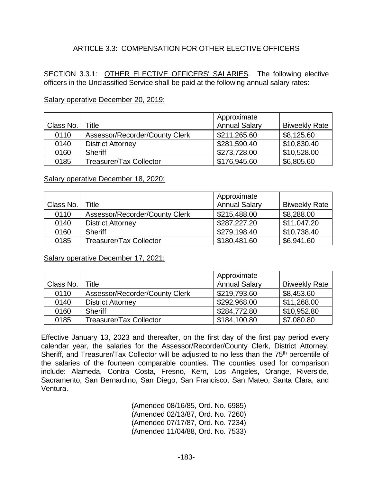## ARTICLE 3.3: COMPENSATION FOR OTHER FLECTIVE OFFICERS

SECTION 3.3.1: OTHER ELECTIVE OFFICERS' SALARIES. The following elective officers in the Unclassified Service shall be paid at the following annual salary rates:

| Class No. | Title                          | Approximate<br><b>Annual Salary</b> | <b>Biweekly Rate</b> |
|-----------|--------------------------------|-------------------------------------|----------------------|
| 0110      | Assessor/Recorder/County Clerk | \$211,265.60                        | \$8,125.60           |
| 0140      | <b>District Attorney</b>       | \$281,590.40                        | \$10,830.40          |
| 0160      | <b>Sheriff</b>                 | \$273,728.00                        | \$10,528.00          |
| 0185      | <b>Treasurer/Tax Collector</b> | \$176,945.60                        | \$6,805.60           |

## Salary operative December 20, 2019:

## Salary operative December 18, 2020:

|           |                                | Approximate          |                      |
|-----------|--------------------------------|----------------------|----------------------|
| Class No. | Title                          | <b>Annual Salary</b> | <b>Biweekly Rate</b> |
| 0110      | Assessor/Recorder/County Clerk | \$215,488.00         | \$8,288.00           |
| 0140      | <b>District Attorney</b>       | \$287,227.20         | \$11,047.20          |
| 0160      | <b>Sheriff</b>                 | \$279,198.40         | \$10,738.40          |
| 0185      | <b>Treasurer/Tax Collector</b> | \$180,481.60         | \$6,941.60           |

Salary operative December 17, 2021:

|           |                                | Approximate          |                      |
|-----------|--------------------------------|----------------------|----------------------|
| Class No. | Title                          | <b>Annual Salary</b> | <b>Biweekly Rate</b> |
| 0110      | Assessor/Recorder/County Clerk | \$219,793.60         | \$8,453.60           |
| 0140      | <b>District Attorney</b>       | \$292,968.00         | \$11,268.00          |
| 0160      | <b>Sheriff</b>                 | \$284,772.80         | \$10,952.80          |
| 0185      | <b>Treasurer/Tax Collector</b> | \$184,100.80         | \$7,080.80           |

Effective January 13, 2023 and thereafter, on the first day of the first pay period every calendar year, the salaries for the Assessor/Recorder/County Clerk, District Attorney, Sheriff, and Treasurer/Tax Collector will be adjusted to no less than the 75<sup>th</sup> percentile of the salaries of the fourteen comparable counties. The counties used for comparison include: Alameda, Contra Costa, Fresno, Kern, Los Angeles, Orange, Riverside, Sacramento, San Bernardino, San Diego, San Francisco, San Mateo, Santa Clara, and Ventura.

> (Amended 08/16/85, Ord. No. 6985) (Amended 02/13/87, Ord. No. 7260) (Amended 07/17/87, Ord. No. 7234) (Amended 11/04/88, Ord. No. 7533)